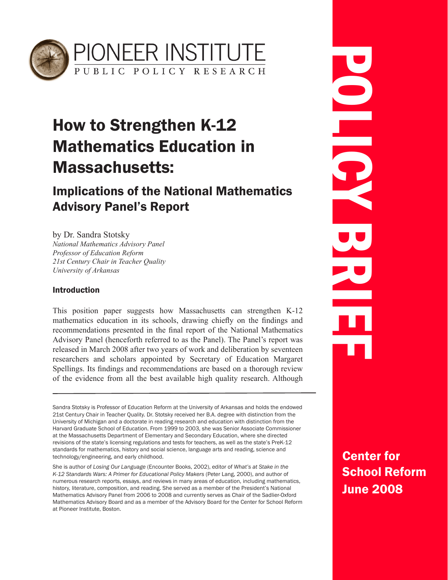

# How to Strengthen K-12 Mathematics Education in Massachusetts:

# Implications of the National Mathematics Advisory Panel's Report

by Dr. Sandra Stotsky *National Mathematics Advisory Panel Professor of Education Reform 21st Century Chair in Teacher Quality University of Arkansas*

#### Introduction

This position paper suggests how Massachusetts can strengthen K-12 mathematics education in its schools, drawing chiefly on the findings and recommendations presented in the final report of the National Mathematics Advisory Panel (henceforth referred to as the Panel). The Panel's report was released in March 2008 after two years of work and deliberation by seventeen researchers and scholars appointed by Secretary of Education Margaret Spellings. Its findings and recommendations are based on a thorough review of the evidence from all the best available high quality research. Although

Sandra Stotsky is Professor of Education Reform at the University of Arkansas and holds the endowed 21st Century Chair in Teacher Quality. Dr. Stotsky received her B.A. degree with distinction from the University of Michigan and a doctorate in reading research and education with distinction from the Harvard Graduate School of Education. From 1999 to 2003, she was Senior Associate Commissioner at the Massachusetts Department of Elementary and Secondary Education, where she directed revisions of the state's licensing regulations and tests for teachers, as well as the state's PreK-12 standards for mathematics, history and social science, language arts and reading, science and technology/engineering, and early childhood.

She is author of *Losing Our Language* (Encounter Books, 2002), editor of *What's at Stake in the K-12 Standards Wars: A Primer for Educational Policy Makers* (Peter Lang, 2000), and author of numerous research reports, essays, and reviews in many areas of education, including mathematics, history, literature, composition, and reading. She served as a member of the President's National Mathematics Advisory Panel from 2006 to 2008 and currently serves as Chair of the Sadlier-Oxford Mathematics Advisory Board and as a member of the Advisory Board for the Center for School Reform at Pioneer Institute, Boston.

POLICY BRIEF

Center for School Reform June 2008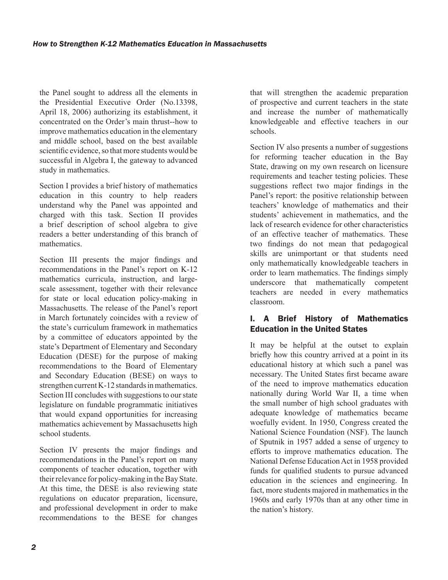the Panel sought to address all the elements in the Presidential Executive Order (No.13398, April 18, 2006) authorizing its establishment, it concentrated on the Order's main thrust--how to improve mathematics education in the elementary and middle school, based on the best available scientific evidence, so that more students would be successful in Algebra I, the gateway to advanced study in mathematics.

Section I provides a brief history of mathematics education in this country to help readers understand why the Panel was appointed and charged with this task. Section II provides a brief description of school algebra to give readers a better understanding of this branch of mathematics.

Section III presents the major findings and recommendations in the Panel's report on K-12 mathematics curricula, instruction, and largescale assessment, together with their relevance for state or local education policy-making in Massachusetts. The release of the Panel's report in March fortunately coincides with a review of the state's curriculum framework in mathematics by a committee of educators appointed by the state's Department of Elementary and Secondary Education (DESE) for the purpose of making recommendations to the Board of Elementary and Secondary Education (BESE) on ways to strengthen current K-12 standards in mathematics. Section III concludes with suggestions to our state legislature on fundable programmatic initiatives that would expand opportunities for increasing mathematics achievement by Massachusetts high school students.

Section IV presents the major findings and recommendations in the Panel's report on many components of teacher education, together with their relevance for policy-making in the Bay State. At this time, the DESE is also reviewing state regulations on educator preparation, licensure, and professional development in order to make recommendations to the BESE for changes

that will strengthen the academic preparation of prospective and current teachers in the state and increase the number of mathematically knowledgeable and effective teachers in our schools.

Section IV also presents a number of suggestions for reforming teacher education in the Bay State, drawing on my own research on licensure requirements and teacher testing policies. These suggestions reflect two major findings in the Panel's report: the positive relationship between teachers' knowledge of mathematics and their students' achievement in mathematics, and the lack of research evidence for other characteristics of an effective teacher of mathematics. These two findings do not mean that pedagogical skills are unimportant or that students need only mathematically knowledgeable teachers in order to learn mathematics. The findings simply underscore that mathematically competent teachers are needed in every mathematics classroom.

### I. A Brief History of Mathematics Education in the United States

It may be helpful at the outset to explain briefly how this country arrived at a point in its educational history at which such a panel was necessary. The United States first became aware of the need to improve mathematics education nationally during World War II, a time when the small number of high school graduates with adequate knowledge of mathematics became woefully evident. In 1950, Congress created the National Science Foundation (NSF). The launch of Sputnik in 1957 added a sense of urgency to efforts to improve mathematics education. The National Defense Education Act in 1958 provided funds for qualified students to pursue advanced education in the sciences and engineering. In fact, more students majored in mathematics in the 1960s and early 1970s than at any other time in the nation's history.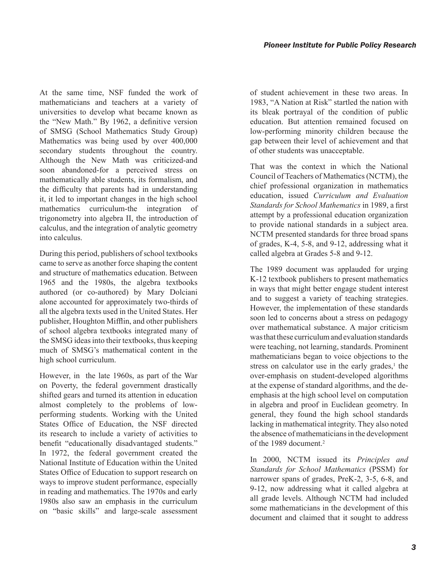At the same time, NSF funded the work of mathematicians and teachers at a variety of universities to develop what became known as the "New Math." By 1962, a definitive version of SMSG (School Mathematics Study Group) Mathematics was being used by over 400,000 secondary students throughout the country. Although the New Math was criticized-and soon abandoned-for a perceived stress on mathematically able students, its formalism, and the difficulty that parents had in understanding it, it led to important changes in the high school mathematics curriculum-the integration of trigonometry into algebra II, the introduction of calculus, and the integration of analytic geometry into calculus.

During this period, publishers of school textbooks came to serve as another force shaping the content and structure of mathematics education. Between 1965 and the 1980s, the algebra textbooks authored (or co-authored) by Mary Dolciani alone accounted for approximately two-thirds of all the algebra texts used in the United States. Her publisher, Houghton Mifflin, and other publishers of school algebra textbooks integrated many of the SMSG ideas into their textbooks, thus keeping much of SMSG's mathematical content in the high school curriculum.

However, in the late 1960s, as part of the War on Poverty, the federal government drastically shifted gears and turned its attention in education almost completely to the problems of lowperforming students. Working with the United States Office of Education, the NSF directed its research to include a variety of activities to benefit "educationally disadvantaged students." In 1972, the federal government created the National Institute of Education within the United States Office of Education to support research on ways to improve student performance, especially in reading and mathematics. The 1970s and early 1980s also saw an emphasis in the curriculum on "basic skills" and large-scale assessment of student achievement in these two areas. In 1983, "A Nation at Risk" startled the nation with its bleak portrayal of the condition of public education. But attention remained focused on low-performing minority children because the gap between their level of achievement and that of other students was unacceptable.

That was the context in which the National Council of Teachers of Mathematics (NCTM), the chief professional organization in mathematics education, issued *Curriculum and Evaluation Standards for School Mathematics* in 1989, a first attempt by a professional education organization to provide national standards in a subject area. NCTM presented standards for three broad spans of grades, K-4, 5-8, and 9-12, addressing what it called algebra at Grades 5-8 and 9-12.

The 1989 document was applauded for urging K-12 textbook publishers to present mathematics in ways that might better engage student interest and to suggest a variety of teaching strategies. However, the implementation of these standards soon led to concerns about a stress on pedagogy over mathematical substance. A major criticism was that these curriculum and evaluation standards were teaching, not learning, standards. Prominent mathematicians began to voice objections to the stress on calculator use in the early grades, $<sup>1</sup>$  the</sup> over-emphasis on student-developed algorithms at the expense of standard algorithms, and the deemphasis at the high school level on computation in algebra and proof in Euclidean geometry. In general, they found the high school standards lacking in mathematical integrity. They also noted the absence of mathematicians in the development of the 1989 document.<sup>2</sup>

In 2000, NCTM issued its *Principles and Standards for School Mathematics* (PSSM) for narrower spans of grades, PreK-2, 3-5, 6-8, and 9-12, now addressing what it called algebra at all grade levels. Although NCTM had included some mathematicians in the development of this document and claimed that it sought to address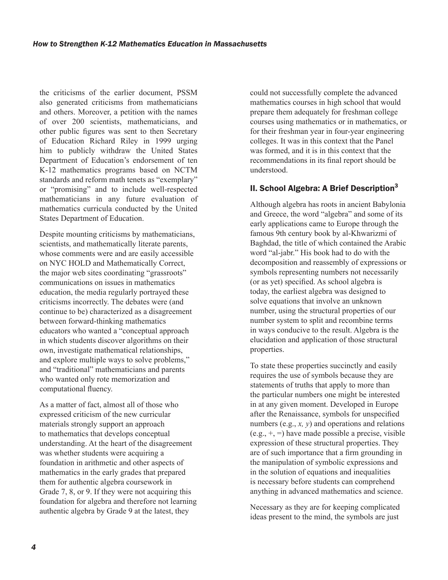the criticisms of the earlier document, PSSM also generated criticisms from mathematicians and others. Moreover, a petition with the names of over 200 scientists, mathematicians, and other public figures was sent to then Secretary of Education Richard Riley in 1999 urging him to publicly withdraw the United States Department of Education's endorsement of ten K-12 mathematics programs based on NCTM standards and reform math tenets as "exemplary" or "promising" and to include well-respected mathematicians in any future evaluation of mathematics curricula conducted by the United States Department of Education.

Despite mounting criticisms by mathematicians, scientists, and mathematically literate parents, whose comments were and are easily accessible on NYC HOLD and Mathematically Correct, the major web sites coordinating "grassroots" communications on issues in mathematics education, the media regularly portrayed these criticisms incorrectly. The debates were (and continue to be) characterized as a disagreement between forward-thinking mathematics educators who wanted a "conceptual approach in which students discover algorithms on their own, investigate mathematical relationships, and explore multiple ways to solve problems," and "traditional" mathematicians and parents who wanted only rote memorization and computational fluency.

As a matter of fact, almost all of those who expressed criticism of the new curricular materials strongly support an approach to mathematics that develops conceptual understanding. At the heart of the disagreement was whether students were acquiring a foundation in arithmetic and other aspects of mathematics in the early grades that prepared them for authentic algebra coursework in Grade 7, 8, or 9. If they were not acquiring this foundation for algebra and therefore not learning authentic algebra by Grade 9 at the latest, they

could not successfully complete the advanced mathematics courses in high school that would prepare them adequately for freshman college courses using mathematics or in mathematics, or for their freshman year in four-year engineering colleges. It was in this context that the Panel was formed, and it is in this context that the recommendations in its final report should be understood.

### II. School Algebra: A Brief Description $3$

Although algebra has roots in ancient Babylonia and Greece, the word "algebra" and some of its early applications came to Europe through the famous 9th century book by al-Khwarizmi of Baghdad, the title of which contained the Arabic word "al-jabr." His book had to do with the decomposition and reassembly of expressions or symbols representing numbers not necessarily (or as yet) specified. As school algebra is today, the earliest algebra was designed to solve equations that involve an unknown number, using the structural properties of our number system to split and recombine terms in ways conducive to the result. Algebra is the elucidation and application of those structural properties.

To state these properties succinctly and easily requires the use of symbols because they are statements of truths that apply to more than the particular numbers one might be interested in at any given moment. Developed in Europe after the Renaissance, symbols for unspecified numbers (e.g., *x, y*) and operations and relations  $(e.g., +, =)$  have made possible a precise, visible expression of these structural properties. They are of such importance that a firm grounding in the manipulation of symbolic expressions and in the solution of equations and inequalities is necessary before students can comprehend anything in advanced mathematics and science.

Necessary as they are for keeping complicated ideas present to the mind, the symbols are just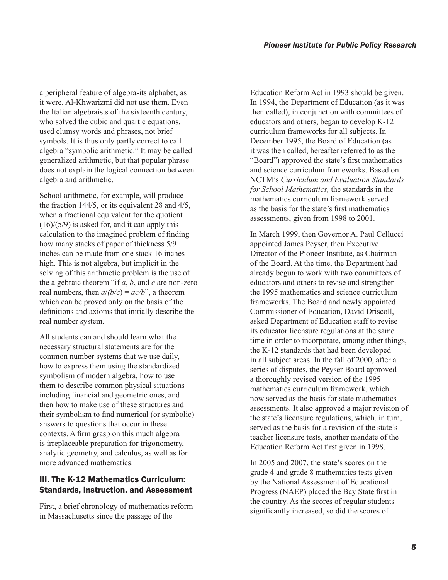a peripheral feature of algebra-its alphabet, as it were. Al-Khwarizmi did not use them. Even the Italian algebraists of the sixteenth century, who solved the cubic and quartic equations, used clumsy words and phrases, not brief symbols. It is thus only partly correct to call algebra "symbolic arithmetic." It may be called generalized arithmetic, but that popular phrase does not explain the logical connection between algebra and arithmetic.

School arithmetic, for example, will produce the fraction 144/5, or its equivalent 28 and 4/5, when a fractional equivalent for the quotient  $(16)/(5/9)$  is asked for, and it can apply this calculation to the imagined problem of finding how many stacks of paper of thickness 5/9 inches can be made from one stack 16 inches high. This is not algebra, but implicit in the solving of this arithmetic problem is the use of the algebraic theorem "if *a*, *b*, and *c* are non-zero real numbers, then  $a/(b/c) = ac/b$ ", a theorem which can be proved only on the basis of the definitions and axioms that initially describe the real number system.

All students can and should learn what the necessary structural statements are for the common number systems that we use daily, how to express them using the standardized symbolism of modern algebra, how to use them to describe common physical situations including financial and geometric ones, and then how to make use of these structures and their symbolism to find numerical (or symbolic) answers to questions that occur in these contexts. A firm grasp on this much algebra is irreplaceable preparation for trigonometry, analytic geometry, and calculus, as well as for more advanced mathematics.

### III. The K-12 Mathematics Curriculum: Standards, Instruction, and Assessment

First, a brief chronology of mathematics reform in Massachusetts since the passage of the

Education Reform Act in 1993 should be given. In 1994, the Department of Education (as it was then called), in conjunction with committees of educators and others, began to develop K-12 curriculum frameworks for all subjects. In December 1995, the Board of Education (as it was then called, hereafter referred to as the "Board") approved the state's first mathematics and science curriculum frameworks. Based on NCTM's *Curriculum and Evaluation Standards for School Mathematics,* the standards in the mathematics curriculum framework served as the basis for the state's first mathematics assessments, given from 1998 to 2001.

In March 1999, then Governor A. Paul Cellucci appointed James Peyser, then Executive Director of the Pioneer Institute, as Chairman of the Board. At the time, the Department had already begun to work with two committees of educators and others to revise and strengthen the 1995 mathematics and science curriculum frameworks. The Board and newly appointed Commissioner of Education, David Driscoll, asked Department of Education staff to revise its educator licensure regulations at the same time in order to incorporate, among other things, the K-12 standards that had been developed in all subject areas. In the fall of 2000, after a series of disputes, the Peyser Board approved a thoroughly revised version of the 1995 mathematics curriculum framework, which now served as the basis for state mathematics assessments. It also approved a major revision of the state's licensure regulations, which, in turn, served as the basis for a revision of the state's teacher licensure tests, another mandate of the Education Reform Act first given in 1998.

In 2005 and 2007, the state's scores on the grade 4 and grade 8 mathematics tests given by the National Assessment of Educational Progress (NAEP) placed the Bay State first in the country. As the scores of regular students significantly increased, so did the scores of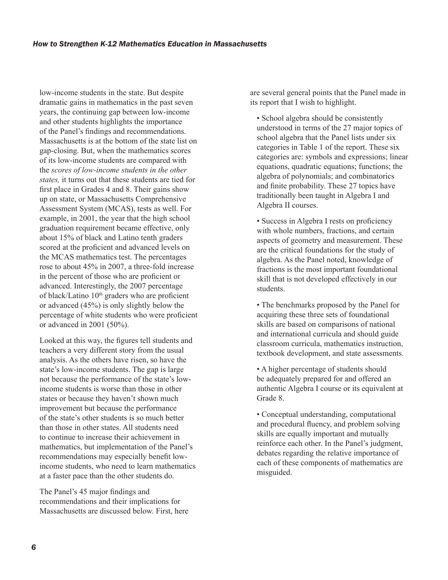low-income students in the state. But despite dramatic gains in mathematics in the past seven years, the continuing gap between low-income and other students highlights the importance of the Panel's findings and recommendations. Massachusetts is at the bottom of the state list on gap-closing. But, when the mathematics scores of its low-income students are compared with the *scores of low-income students in the other states,* it turns out that these students are tied for first place in Grades 4 and 8. Their gains show up on state, or Massachusetts Comprehensive Assessment System (MCAS), tests as well. For example, in 2001, the year that the high school graduation requirement became effective, only about 15% of black and Latino tenth graders scored at the proficient and advanced levels on the MCAS mathematics test. The percentages rose to about 45% in 2007, a three-fold increase in the percent of those who are proficient or advanced. Interestingly, the 2007 percentage of black/Latino  $10<sup>th</sup>$  graders who are proficient or advanced (45%) is only slightly below the percentage of white students who were proficient or advanced in 2001 (50%).

Looked at this way, the figures tell students and teachers a very different story from the usual analysis. As the others have risen, so have the state's low-income students. The gap is large not because the performance of the state's lowincome students is worse than those in other states or because they haven't shown much improvement but because the performance of the state's other students is so much better than those in other states. All students need to continue to increase their achievement in mathematics, but implementation of the Panel's recommendations may especially benefit lowincome students, who need to learn mathematics at a faster pace than the other students do.

The Panel's 45 major findings and recommendations and their implications for Massachusetts are discussed below. First, here are several general points that the Panel made in its report that I wish to highlight.

• School algebra should be consistently understood in terms of the 27 major topics of school algebra that the Panel lists under six categories in Table 1 of the report. These six categories are: symbols and expressions; linear equations, quadratic equations; functions; the algebra of polynomials; and combinatorics and finite probability. These 27 topics have traditionally been taught in Algebra I and Algebra II courses.

• Success in Algebra I rests on proficiency with whole numbers, fractions, and certain aspects of geometry and measurement. These are the critical foundations for the study of algebra. As the Panel noted, knowledge of fractions is the most important foundational skill that is not developed effectively in our students.

• The benchmarks proposed by the Panel for acquiring these three sets of foundational skills are based on comparisons of national and international curricula and should guide classroom curricula, mathematics instruction, textbook development, and state assessments.

• A higher percentage of students should be adequately prepared for and offered an authentic Algebra I course or its equivalent at Grade 8.

• Conceptual understanding, computational and procedural fluency, and problem solving skills are equally important and mutually reinforce each other. In the Panel's judgment, debates regarding the relative importance of each of these components of mathematics are misguided.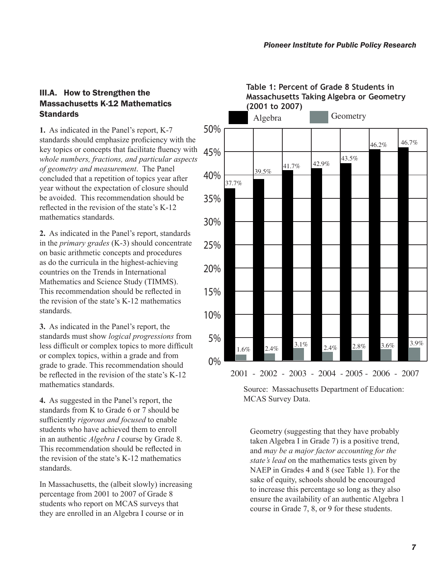### III.A. How to Strengthen the Massachusetts K-12 Mathematics **Standards**

**1.** As indicated in the Panel's report, K-7 standards should emphasize proficiency with the key topics or concepts that facilitate fluency with *whole numbers, fractions, and particular aspects of geometry and measurement*. The Panel concluded that a repetition of topics year after year without the expectation of closure should be avoided. This recommendation should be reflected in the revision of the state's K-12 mathematics standards.

**2.** As indicated in the Panel's report, standards in the *primary grades* (K-3) should concentrate on basic arithmetic concepts and procedures as do the curricula in the highest-achieving countries on the Trends in International Mathematics and Science Study (TIMMS). This recommendation should be reflected in the revision of the state's K-12 mathematics standards.

**3.** As indicated in the Panel's report, the standards must show *logical progressions* from less difficult or complex topics to more difficult or complex topics, within a grade and from grade to grade. This recommendation should be reflected in the revision of the state's K-12 mathematics standards.

**4.** As suggested in the Panel's report, the standards from K to Grade 6 or 7 should be sufficiently *rigorous and focused* to enable students who have achieved them to enroll in an authentic *Algebra I* course by Grade 8. This recommendation should be reflected in the revision of the state's K-12 mathematics standards.

In Massachusetts, the (albeit slowly) increasing percentage from 2001 to 2007 of Grade 8 students who report on MCAS surveys that they are enrolled in an Algebra I course or in



**Table 1: Percent of Grade 8 Students in Massachusetts Taking Algebra or Geometry (2001 to 2007)**

Source: Massachusetts Department of Education: MCAS Survey Data.

Geometry (suggesting that they have probably taken Algebra I in Grade 7) is a positive trend, and *may be a major factor accounting for the state's lead* on the mathematics tests given by NAEP in Grades 4 and 8 (see Table 1). For the sake of equity, schools should be encouraged to increase this percentage so long as they also ensure the availability of an authentic Algebra 1 course in Grade 7, 8, or 9 for these students.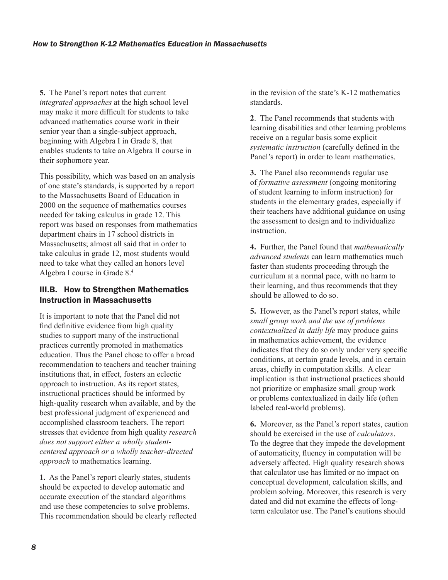**5.** The Panel's report notes that current *integrated approaches* at the high school level may make it more difficult for students to take advanced mathematics course work in their senior year than a single-subject approach, beginning with Algebra I in Grade 8, that enables students to take an Algebra II course in their sophomore year.

This possibility, which was based on an analysis of one state's standards, is supported by a report to the Massachusetts Board of Education in 2000 on the sequence of mathematics courses needed for taking calculus in grade 12. This report was based on responses from mathematics department chairs in 17 school districts in Massachusetts; almost all said that in order to take calculus in grade 12, most students would need to take what they called an honors level Algebra I course in Grade 8.<sup>4</sup>

## III.B. How to Strengthen Mathematics Instruction in Massachusetts

It is important to note that the Panel did not find definitive evidence from high quality studies to support many of the instructional practices currently promoted in mathematics education. Thus the Panel chose to offer a broad recommendation to teachers and teacher training institutions that, in effect, fosters an eclectic approach to instruction. As its report states, instructional practices should be informed by high-quality research when available, and by the best professional judgment of experienced and accomplished classroom teachers. The report stresses that evidence from high quality *research does not support either a wholly studentcentered approach or a wholly teacher-directed approach* to mathematics learning.

**1.** As the Panel's report clearly states, students should be expected to develop automatic and accurate execution of the standard algorithms and use these competencies to solve problems. This recommendation should be clearly reflected

in the revision of the state's K-12 mathematics standards.

**2**. The Panel recommends that students with learning disabilities and other learning problems receive on a regular basis some explicit *systematic instruction* (carefully defined in the Panel's report) in order to learn mathematics.

**3.** The Panel also recommends regular use of *formative assessment* (ongoing monitoring of student learning to inform instruction) for students in the elementary grades, especially if their teachers have additional guidance on using the assessment to design and to individualize instruction.

**4.** Further, the Panel found that *mathematically advanced students* can learn mathematics much faster than students proceeding through the curriculum at a normal pace, with no harm to their learning, and thus recommends that they should be allowed to do so.

**5.** However, as the Panel's report states, while *small group work and the use of problems contextualized in daily life* may produce gains in mathematics achievement, the evidence indicates that they do so only under very specific conditions, at certain grade levels, and in certain areas, chiefly in computation skills. A clear implication is that instructional practices should not prioritize or emphasize small group work or problems contextualized in daily life (often labeled real-world problems).

**6.** Moreover, as the Panel's report states, caution should be exercised in the use of *calculators*. To the degree that they impede the development of automaticity, fluency in computation will be adversely affected. High quality research shows that calculator use has limited or no impact on conceptual development, calculation skills, and problem solving. Moreover, this research is very dated and did not examine the effects of longterm calculator use. The Panel's cautions should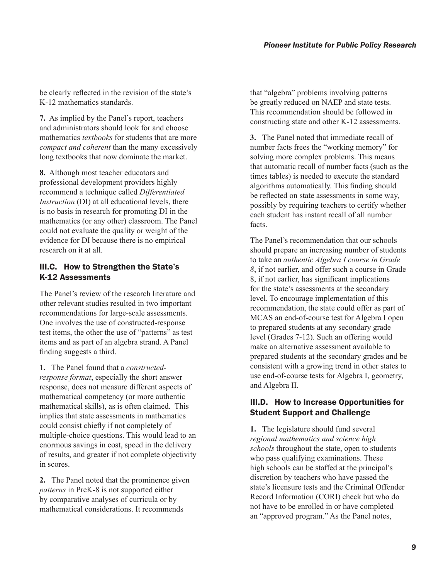be clearly reflected in the revision of the state's K-12 mathematics standards.

**7.** As implied by the Panel's report, teachers and administrators should look for and choose mathematics *textbooks* for students that are more *compact and coherent* than the many excessively long textbooks that now dominate the market.

**8.** Although most teacher educators and professional development providers highly recommend a technique called *Differentiated Instruction* (DI) at all educational levels, there is no basis in research for promoting DI in the mathematics (or any other) classroom. The Panel could not evaluate the quality or weight of the evidence for DI because there is no empirical research on it at all.

### III.C. How to Strengthen the State's K-12 Assessments

The Panel's review of the research literature and other relevant studies resulted in two important recommendations for large-scale assessments. One involves the use of constructed-response test items, the other the use of "patterns" as test items and as part of an algebra strand. A Panel finding suggests a third.

**1.** The Panel found that a *constructedresponse format*, especially the short answer response, does not measure different aspects of mathematical competency (or more authentic mathematical skills), as is often claimed. This implies that state assessments in mathematics could consist chiefly if not completely of multiple-choice questions. This would lead to an enormous savings in cost, speed in the delivery of results, and greater if not complete objectivity in scores.

**2.** The Panel noted that the prominence given *patterns* in PreK-8 is not supported either by comparative analyses of curricula or by mathematical considerations. It recommends

that "algebra" problems involving patterns be greatly reduced on NAEP and state tests. This recommendation should be followed in constructing state and other K-12 assessments.

**3.** The Panel noted that immediate recall of number facts frees the "working memory" for solving more complex problems. This means that automatic recall of number facts (such as the times tables) is needed to execute the standard algorithms automatically. This finding should be reflected on state assessments in some way, possibly by requiring teachers to certify whether each student has instant recall of all number facts.

The Panel's recommendation that our schools should prepare an increasing number of students to take an *authentic Algebra I course in Grade 8*, if not earlier, and offer such a course in Grade 8, if not earlier, has significant implications for the state's assessments at the secondary level. To encourage implementation of this recommendation, the state could offer as part of MCAS an end-of-course test for Algebra I open to prepared students at any secondary grade level (Grades 7-12). Such an offering would make an alternative assessment available to prepared students at the secondary grades and be consistent with a growing trend in other states to use end-of-course tests for Algebra I, geometry, and Algebra II.

#### III.D. How to Increase Opportunities for Student Support and Challenge

**1.** The legislature should fund several *regional mathematics and science high schools* throughout the state, open to students who pass qualifying examinations. These high schools can be staffed at the principal's discretion by teachers who have passed the state's licensure tests and the Criminal Offender Record Information (CORI) check but who do not have to be enrolled in or have completed an "approved program." As the Panel notes,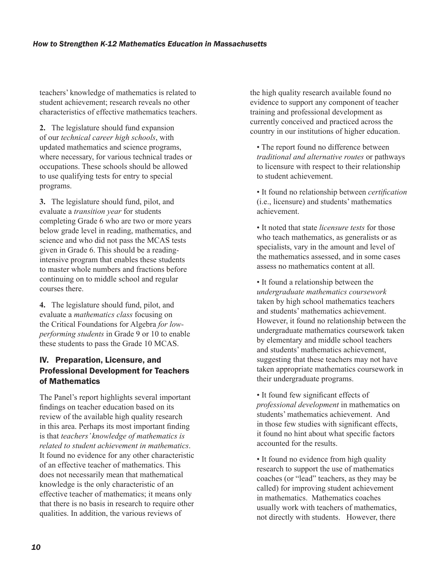teachers' knowledge of mathematics is related to student achievement; research reveals no other characteristics of effective mathematics teachers.

**2.** The legislature should fund expansion of our *technical career high schools*, with updated mathematics and science programs, where necessary, for various technical trades or occupations. These schools should be allowed to use qualifying tests for entry to special programs.

**3.** The legislature should fund, pilot, and evaluate a *transition year* for students completing Grade 6 who are two or more years below grade level in reading, mathematics, and science and who did not pass the MCAS tests given in Grade 6. This should be a readingintensive program that enables these students to master whole numbers and fractions before continuing on to middle school and regular courses there.

**4.** The legislature should fund, pilot, and evaluate a *mathematics class* focusing on the Critical Foundations for Algebra *for lowperforming students* in Grade 9 or 10 to enable these students to pass the Grade 10 MCAS.

### IV. Preparation, Licensure, and Professional Development for Teachers of Mathematics

The Panel's report highlights several important findings on teacher education based on its review of the available high quality research in this area. Perhaps its most important finding is that *teachers' knowledge of mathematics is related to student achievement in mathematics*. It found no evidence for any other characteristic of an effective teacher of mathematics. This does not necessarily mean that mathematical knowledge is the only characteristic of an effective teacher of mathematics; it means only that there is no basis in research to require other qualities. In addition, the various reviews of

the high quality research available found no evidence to support any component of teacher training and professional development as currently conceived and practiced across the country in our institutions of higher education.

• The report found no difference between *traditional and alternative routes* or pathways to licensure with respect to their relationship to student achievement.

• It found no relationship between *certification* (i.e., licensure) and students' mathematics achievement.

• It noted that state *licensure tests* for those who teach mathematics, as generalists or as specialists, vary in the amount and level of the mathematics assessed, and in some cases assess no mathematics content at all.

• It found a relationship between the *undergraduate mathematics coursework*  taken by high school mathematics teachers and students' mathematics achievement. However, it found no relationship between the undergraduate mathematics coursework taken by elementary and middle school teachers and students' mathematics achievement, suggesting that these teachers may not have taken appropriate mathematics coursework in their undergraduate programs.

• It found few significant effects of *professional development* in mathematics on students' mathematics achievement. And in those few studies with significant effects, it found no hint about what specific factors accounted for the results.

• It found no evidence from high quality research to support the use of mathematics coaches (or "lead" teachers, as they may be called) for improving student achievement in mathematics. Mathematics coaches usually work with teachers of mathematics, not directly with students. However, there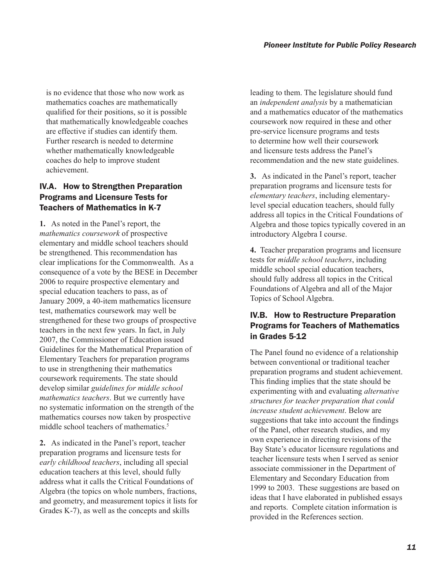is no evidence that those who now work as mathematics coaches are mathematically qualified for their positions, so it is possible that mathematically knowledgeable coaches are effective if studies can identify them. Further research is needed to determine whether mathematically knowledgeable coaches do help to improve student achievement.

#### IV.A. How to Strengthen Preparation Programs and Licensure Tests for Teachers of Mathematics in K-7

**1.** As noted in the Panel's report, the *mathematics coursework* of prospective elementary and middle school teachers should be strengthened. This recommendation has clear implications for the Commonwealth. As a consequence of a vote by the BESE in December 2006 to require prospective elementary and special education teachers to pass, as of January 2009, a 40-item mathematics licensure test, mathematics coursework may well be strengthened for these two groups of prospective teachers in the next few years. In fact, in July 2007, the Commissioner of Education issued Guidelines for the Mathematical Preparation of Elementary Teachers for preparation programs to use in strengthening their mathematics coursework requirements. The state should develop similar *guidelines for middle school mathematics teachers*. But we currently have no systematic information on the strength of the mathematics courses now taken by prospective middle school teachers of mathematics.<sup>5</sup>

**2.** As indicated in the Panel's report, teacher preparation programs and licensure tests for *early childhood teachers*, including all special education teachers at this level, should fully address what it calls the Critical Foundations of Algebra (the topics on whole numbers, fractions, and geometry, and measurement topics it lists for Grades K-7), as well as the concepts and skills

leading to them. The legislature should fund an *independent analysis* by a mathematician and a mathematics educator of the mathematics coursework now required in these and other pre-service licensure programs and tests to determine how well their coursework and licensure tests address the Panel's recommendation and the new state guidelines.

**3.** As indicated in the Panel's report, teacher preparation programs and licensure tests for *elementary teachers*, including elementarylevel special education teachers, should fully address all topics in the Critical Foundations of Algebra and those topics typically covered in an introductory Algebra I course.

**4.** Teacher preparation programs and licensure tests for *middle school teachers*, including middle school special education teachers, should fully address all topics in the Critical Foundations of Algebra and all of the Major Topics of School Algebra.

### IV.B. How to Restructure Preparation Programs for Teachers of Mathematics in Grades 5-12

The Panel found no evidence of a relationship between conventional or traditional teacher preparation programs and student achievement. This finding implies that the state should be experimenting with and evaluating *alternative structures for teacher preparation that could increase student achievement*. Below are suggestions that take into account the findings of the Panel, other research studies, and my own experience in directing revisions of the Bay State's educator licensure regulations and teacher licensure tests when I served as senior associate commissioner in the Department of Elementary and Secondary Education from 1999 to 2003. These suggestions are based on ideas that I have elaborated in published essays and reports. Complete citation information is provided in the References section.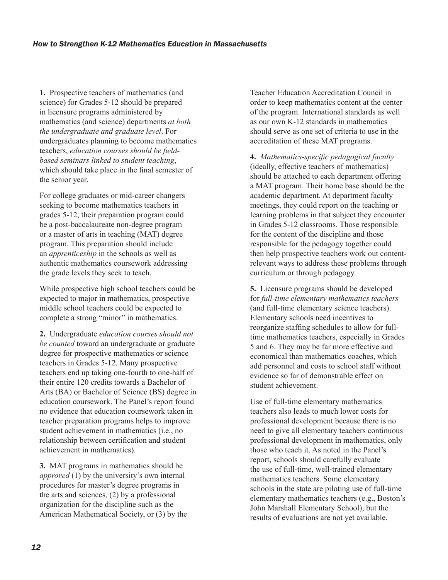**1.** Prospective teachers of mathematics (and science) for Grades 5-12 should be prepared in licensure programs administered by mathematics (and science) departments *at both the undergraduate and graduate level*. For undergraduates planning to become mathematics teachers, *education courses should be fieldbased seminars linked to student teaching*, which should take place in the final semester of the senior year.

For college graduates or mid-career changers seeking to become mathematics teachers in grades 5-12, their preparation program could be a post-baccalaureate non-degree program or a master of arts in teaching (MAT) degree program. This preparation should include an *apprenticeship* in the schools as well as authentic mathematics coursework addressing the grade levels they seek to teach.

While prospective high school teachers could be expected to major in mathematics, prospective middle school teachers could be expected to complete a strong "minor" in mathematics.

**2.** Undergraduate *education courses should not be counted* toward an undergraduate or graduate degree for prospective mathematics or science teachers in Grades 5-12. Many prospective teachers end up taking one-fourth to one-half of their entire 120 credits towards a Bachelor of Arts (BA) or Bachelor of Science (BS) degree in education coursework. The Panel's report found no evidence that education coursework taken in teacher preparation programs helps to improve student achievement in mathematics (i.e., no relationship between certification and student achievement in mathematics).

**3.** MAT programs in mathematics should be *approved* (1) by the university's own internal procedures for master's degree programs in the arts and sciences, (2) by a professional organization for the discipline such as the American Mathematical Society, or (3) by the Teacher Education Accreditation Council in order to keep mathematics content at the center of the program. International standards as well as our own K-12 standards in mathematics should serve as one set of criteria to use in the accreditation of these MAT programs.

**4.** *Mathematics-specific pedagogical faculty* (ideally, effective teachers of mathematics) should be attached to each department offering a MAT program. Their home base should be the academic department. At department faculty meetings, they could report on the teaching or learning problems in that subject they encounter in Grades 5-12 classrooms. Those responsible for the content of the discipline and those responsible for the pedagogy together could then help prospective teachers work out contentrelevant ways to address these problems through curriculum or through pedagogy.

**5.** Licensure programs should be developed for *full-time elementary mathematics teachers* (and full-time elementary science teachers). Elementary schools need incentives to reorganize staffing schedules to allow for fulltime mathematics teachers, especially in Grades 5 and 6. They may be far more effective and economical than mathematics coaches, which add personnel and costs to school staff without evidence so far of demonstrable effect on student achievement.

Use of full-time elementary mathematics teachers also leads to much lower costs for professional development because there is no need to give all elementary teachers continuous professional development in mathematics, only those who teach it. As noted in the Panel's report, schools should carefully evaluate the use of full-time, well-trained elementary mathematics teachers. Some elementary schools in the state are piloting use of full-time elementary mathematics teachers (e.g., Boston's John Marshall Elementary School), but the results of evaluations are not yet available.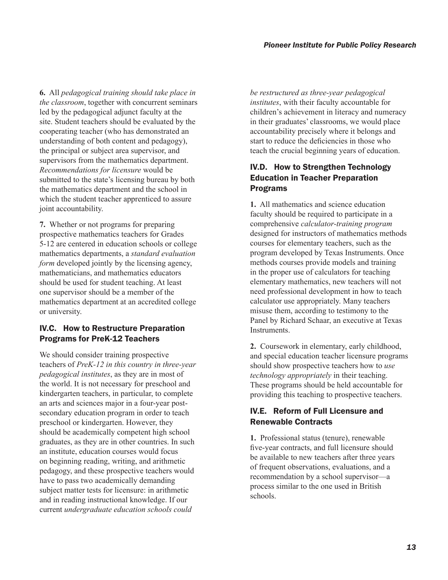**6.** All *pedagogical training should take place in the classroom*, together with concurrent seminars led by the pedagogical adjunct faculty at the site. Student teachers should be evaluated by the cooperating teacher (who has demonstrated an understanding of both content and pedagogy), the principal or subject area supervisor, and supervisors from the mathematics department. *Recommendations for licensure* would be submitted to the state's licensing bureau by both the mathematics department and the school in which the student teacher apprenticed to assure joint accountability.

**7.** Whether or not programs for preparing prospective mathematics teachers for Grades 5-12 are centered in education schools or college mathematics departments, a *standard evaluation form* developed jointly by the licensing agency, mathematicians, and mathematics educators should be used for student teaching. At least one supervisor should be a member of the mathematics department at an accredited college or university.

### IV.C. How to Restructure Preparation Programs for PreK-12 Teachers

We should consider training prospective teachers of *PreK-12 in this country in three-year pedagogical institutes*, as they are in most of the world. It is not necessary for preschool and kindergarten teachers, in particular, to complete an arts and sciences major in a four-year postsecondary education program in order to teach preschool or kindergarten. However, they should be academically competent high school graduates, as they are in other countries. In such an institute, education courses would focus on beginning reading, writing, and arithmetic pedagogy, and these prospective teachers would have to pass two academically demanding subject matter tests for licensure: in arithmetic and in reading instructional knowledge. If our current *undergraduate education schools could* 

*be restructured as three-year pedagogical institutes*, with their faculty accountable for children's achievement in literacy and numeracy in their graduates' classrooms, we would place accountability precisely where it belongs and start to reduce the deficiencies in those who teach the crucial beginning years of education.

#### IV.D. How to Strengthen Technology Education in Teacher Preparation Programs

**1.** All mathematics and science education faculty should be required to participate in a comprehensive *calculator-training program* designed for instructors of mathematics methods courses for elementary teachers, such as the program developed by Texas Instruments. Once methods courses provide models and training in the proper use of calculators for teaching elementary mathematics, new teachers will not need professional development in how to teach calculator use appropriately. Many teachers misuse them, according to testimony to the Panel by Richard Schaar, an executive at Texas Instruments.

**2.** Coursework in elementary, early childhood, and special education teacher licensure programs should show prospective teachers how to *use technology appropriately* in their teaching. These programs should be held accountable for providing this teaching to prospective teachers.

### IV.E. Reform of Full Licensure and Renewable Contracts

**1.** Professional status (tenure), renewable five-year contracts, and full licensure should be available to new teachers after three years of frequent observations, evaluations, and a recommendation by a school supervisor—a process similar to the one used in British schools.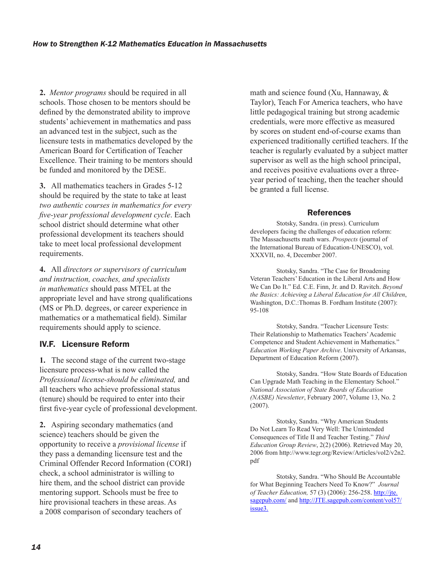**2.** *Mentor programs* should be required in all schools. Those chosen to be mentors should be defined by the demonstrated ability to improve students' achievement in mathematics and pass an advanced test in the subject, such as the licensure tests in mathematics developed by the American Board for Certification of Teacher Excellence. Their training to be mentors should be funded and monitored by the DESE.

**3.** All mathematics teachers in Grades 5-12 should be required by the state to take at least *two authentic courses in mathematics for every five-year professional development cycle*. Each school district should determine what other professional development its teachers should take to meet local professional development requirements.

**4.** All *directors or supervisors of curriculum and instruction, coaches, and specialists in mathematics* should pass MTEL at the appropriate level and have strong qualifications (MS or Ph.D. degrees, or career experience in mathematics or a mathematical field). Similar requirements should apply to science.

### IV.F. Licensure Reform

**1.** The second stage of the current two-stage licensure process-what is now called the *Professional license-should be eliminated,* and all teachers who achieve professional status (tenure) should be required to enter into their first five-year cycle of professional development.

**2.** Aspiring secondary mathematics (and science) teachers should be given the opportunity to receive a *provisional license* if they pass a demanding licensure test and the Criminal Offender Record Information (CORI) check, a school administrator is willing to hire them, and the school district can provide mentoring support. Schools must be free to hire provisional teachers in these areas. As a 2008 comparison of secondary teachers of

math and science found (Xu, Hannaway, & Taylor), Teach For America teachers, who have little pedagogical training but strong academic credentials, were more effective as measured by scores on student end-of-course exams than experienced traditionally certified teachers. If the teacher is regularly evaluated by a subject matter supervisor as well as the high school principal, and receives positive evaluations over a threeyear period of teaching, then the teacher should be granted a full license.

#### References

Stotsky, Sandra. (in press). Curriculum developers facing the challenges of education reform: The Massachusetts math wars. *Prospects* (journal of the International Bureau of Education-UNESCO), vol. XXXVII, no. 4, December 2007.

Stotsky, Sandra. "The Case for Broadening Veteran Teachers' Education in the Liberal Arts and How We Can Do It." Ed. C.E. Finn, Jr. and D. Ravitch. *Beyond the Basics: Achieving a Liberal Education for All Children*, Washington, D.C.:Thomas B. Fordham Institute (2007): 95-108

Stotsky, Sandra. "Teacher Licensure Tests: Their Relationship to Mathematics Teachers' Academic Competence and Student Achievement in Mathematics." *Education Working Paper Archive*. University of Arkansas, Department of Education Reform (2007).

Stotsky, Sandra. "How State Boards of Education Can Upgrade Math Teaching in the Elementary School." *National Association of State Boards of Education (NASBE) Newsletter*, February 2007, Volume 13, No. 2 (2007).

Stotsky, Sandra. "Why American Students Do Not Learn To Read Very Well: The Unintended Consequences of Title II and Teacher Testing." *Third Education Group Review*, 2(2) (2006). Retrieved May 20, 2006 from http://www.tegr.org/Review/Articles/vol2/v2n2. pdf

Stotsky, Sandra. "Who Should Be Accountable for What Beginning Teachers Need To Know?" *Journal of Teacher Education,* 57 (3) (2006): 256-258. http://jte. sagepub.com/ and http://JTE.sagepub.com/content/vol57/ issue3.